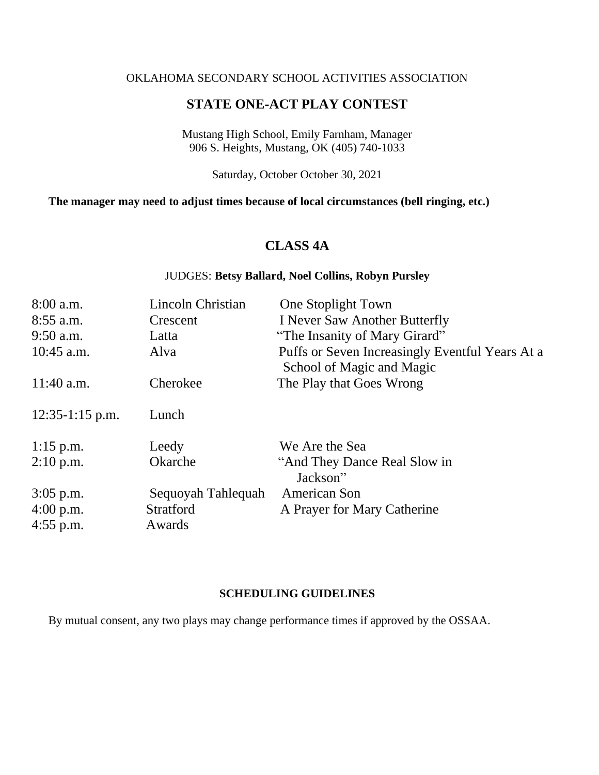### OKLAHOMA SECONDARY SCHOOL ACTIVITIES ASSOCIATION

### **STATE ONE-ACT PLAY CONTEST**

Mustang High School, Emily Farnham, Manager 906 S. Heights, Mustang, OK (405) 740-1033

Saturday, October October 30, 2021

### **The manager may need to adjust times because of local circumstances (bell ringing, etc.)**

## **CLASS 4A**

### JUDGES: **Betsy Ballard, Noel Collins, Robyn Pursley**

| $8:00$ a.m.       | Lincoln Christian  | One Stoplight Town                              |
|-------------------|--------------------|-------------------------------------------------|
| $8:55$ a.m.       | Crescent           | I Never Saw Another Butterfly                   |
| $9:50$ a.m.       | Latta              | "The Insanity of Mary Girard"                   |
| $10:45$ a.m.      | Alva               | Puffs or Seven Increasingly Eventful Years At a |
|                   |                    | School of Magic and Magic                       |
| $11:40$ a.m.      | Cherokee           | The Play that Goes Wrong                        |
| $12:35-1:15$ p.m. | Lunch              |                                                 |
| $1:15$ p.m.       | Leedy              | We Are the Sea                                  |
| $2:10$ p.m.       | Okarche            | "And They Dance Real Slow in<br>Jackson"        |
| $3:05$ p.m.       | Sequoyah Tahlequah | American Son                                    |
| $4:00$ p.m.       | <b>Stratford</b>   | A Prayer for Mary Catherine                     |
| $4:55$ p.m.       | Awards             |                                                 |

### **SCHEDULING GUIDELINES**

By mutual consent, any two plays may change performance times if approved by the OSSAA.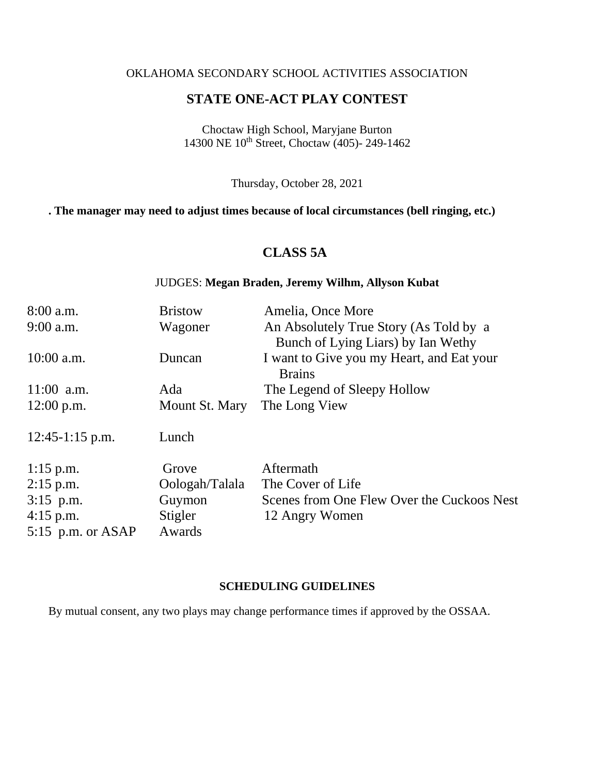### OKLAHOMA SECONDARY SCHOOL ACTIVITIES ASSOCIATION

# **STATE ONE-ACT PLAY CONTEST**

Choctaw High School, Maryjane Burton 14300 NE 10th Street, Choctaw (405)- 249-1462

Thursday, October 28, 2021

### **. The manager may need to adjust times because of local circumstances (bell ringing, etc.)**

# **CLASS 5A**

### JUDGES: **Megan Braden, Jeremy Wilhm, Allyson Kubat**

| $8:00$ a.m.         | <b>Bristow</b> | Amelia, Once More                                                            |
|---------------------|----------------|------------------------------------------------------------------------------|
| 9:00 a.m.           | Wagoner        | An Absolutely True Story (As Told by a<br>Bunch of Lying Liars) by Ian Wethy |
| $10:00$ a.m.        | Duncan         | I want to Give you my Heart, and Eat your<br><b>Brains</b>                   |
| $11:00$ a.m.        | Ada            | The Legend of Sleepy Hollow                                                  |
| $12:00$ p.m.        | Mount St. Mary | The Long View                                                                |
| $12:45-1:15$ p.m.   | Lunch          |                                                                              |
| $1:15$ p.m.         | Grove          | Aftermath                                                                    |
| $2:15$ p.m.         | Oologah/Talala | The Cover of Life                                                            |
| $3:15$ p.m.         | Guymon         | Scenes from One Flew Over the Cuckoos Nest                                   |
| $4:15$ p.m.         | Stigler        | 12 Angry Women                                                               |
| 5:15 p.m. or $ASAP$ | Awards         |                                                                              |

### **SCHEDULING GUIDELINES**

By mutual consent, any two plays may change performance times if approved by the OSSAA.